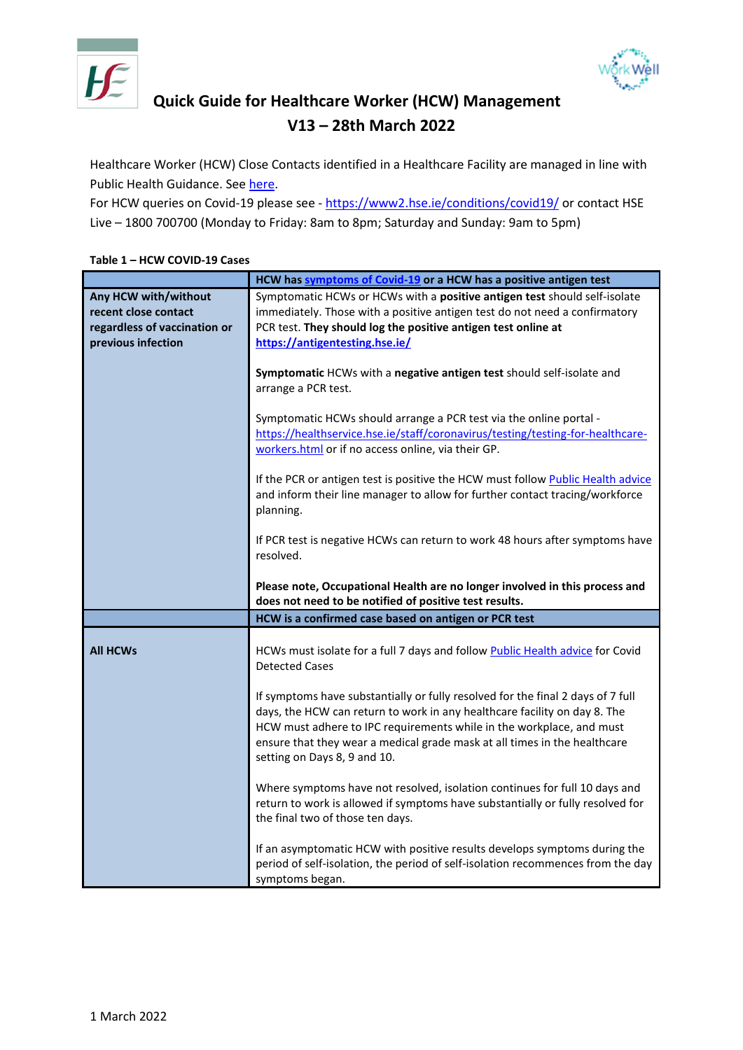



## **Quick Guide for Healthcare Worker (HCW) Management V13 – 28th March 2022**

Healthcare Worker (HCW) Close Contacts identified in a Healthcare Facility are managed in line with Public Health Guidance. Se[e here.](https://www.hpsc.ie/a-z/respiratory/coronavirus/novelcoronavirus/guidance/contacttracingguidance/Public%20Health%20advice%20for%20the%20management%20of%20cases%20and%20contacts%20of%20COVID-19.pdf)

For HCW queries on Covid-19 please see - <https://www2.hse.ie/conditions/covid19/> or contact HSE Live – 1800 700700 (Monday to Friday: 8am to 8pm; Saturday and Sunday: 9am to 5pm)

## **Table 1 – HCW COVID-19 Cases**

|                                                                              | HCW has symptoms of Covid-19 or a HCW has a positive antigen test                                                                                                                                                                                                                                                                                 |
|------------------------------------------------------------------------------|---------------------------------------------------------------------------------------------------------------------------------------------------------------------------------------------------------------------------------------------------------------------------------------------------------------------------------------------------|
| Any HCW with/without<br>recent close contact<br>regardless of vaccination or | Symptomatic HCWs or HCWs with a positive antigen test should self-isolate<br>immediately. Those with a positive antigen test do not need a confirmatory<br>PCR test. They should log the positive antigen test online at                                                                                                                          |
| previous infection                                                           | https://antigentesting.hse.ie/                                                                                                                                                                                                                                                                                                                    |
|                                                                              | Symptomatic HCWs with a negative antigen test should self-isolate and<br>arrange a PCR test.                                                                                                                                                                                                                                                      |
|                                                                              | Symptomatic HCWs should arrange a PCR test via the online portal -<br>https://healthservice.hse.ie/staff/coronavirus/testing/testing-for-healthcare-<br>workers.html or if no access online, via their GP.                                                                                                                                        |
|                                                                              | If the PCR or antigen test is positive the HCW must follow Public Health advice<br>and inform their line manager to allow for further contact tracing/workforce<br>planning.                                                                                                                                                                      |
|                                                                              | If PCR test is negative HCWs can return to work 48 hours after symptoms have<br>resolved.                                                                                                                                                                                                                                                         |
|                                                                              | Please note, Occupational Health are no longer involved in this process and<br>does not need to be notified of positive test results.                                                                                                                                                                                                             |
|                                                                              | HCW is a confirmed case based on antigen or PCR test                                                                                                                                                                                                                                                                                              |
| <b>All HCWs</b>                                                              | HCWs must isolate for a full 7 days and follow Public Health advice for Covid<br><b>Detected Cases</b>                                                                                                                                                                                                                                            |
|                                                                              | If symptoms have substantially or fully resolved for the final 2 days of 7 full<br>days, the HCW can return to work in any healthcare facility on day 8. The<br>HCW must adhere to IPC requirements while in the workplace, and must<br>ensure that they wear a medical grade mask at all times in the healthcare<br>setting on Days 8, 9 and 10. |
|                                                                              | Where symptoms have not resolved, isolation continues for full 10 days and<br>return to work is allowed if symptoms have substantially or fully resolved for<br>the final two of those ten days.                                                                                                                                                  |
|                                                                              | If an asymptomatic HCW with positive results develops symptoms during the<br>period of self-isolation, the period of self-isolation recommences from the day<br>symptoms began.                                                                                                                                                                   |